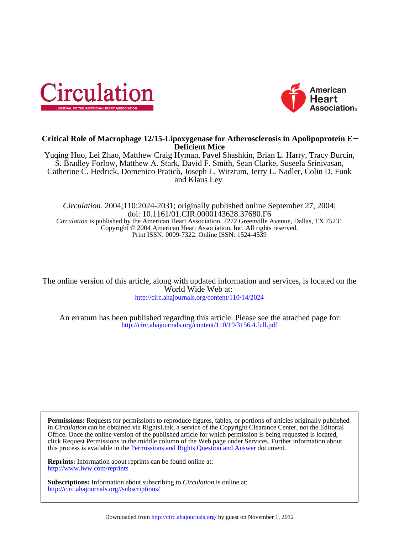



# **Deficient Mice Critical Role of Macrophage 12/15-Lipoxygenase for Atherosclerosis in Apolipoprotein E**−

and Klaus Ley Catherine C. Hedrick, Domenico Praticò, Joseph L. Witztum, Jerry L. Nadler, Colin D. Funk S. Bradley Forlow, Matthew A. Stark, David F. Smith, Sean Clarke, Suseela Srinivasan, Yuqing Huo, Lei Zhao, Matthew Craig Hyman, Pavel Shashkin, Brian L. Harry, Tracy Burcin,

Print ISSN: 0009-7322. Online ISSN: 1524-4539 Copyright © 2004 American Heart Association, Inc. All rights reserved. *Circulation* is published by the American Heart Association, 7272 Greenville Avenue, Dallas, TX 75231 doi: 10.1161/01.CIR.0000143628.37680.F6 *Circulation.* 2004;110:2024-2031; originally published online September 27, 2004;

<http://circ.ahajournals.org/content/110/14/2024> World Wide Web at: The online version of this article, along with updated information and services, is located on the

<http://circ.ahajournals.org/content/110/19/3156.4.full.pdf> An erratum has been published regarding this article. Please see the attached page for:

this process is available in the [Permissions and Rights Question and Answer d](http://www.ahajournals.org/site/rights/)ocument. click Request Permissions in the middle column of the Web page under Services. Further information about Office. Once the online version of the published article for which permission is being requested is located, in *Circulation* can be obtained via RightsLink, a service of the Copyright Clearance Center, not the Editorial **Permissions:** Requests for permissions to reproduce figures, tables, or portions of articles originally published

<http://www.lww.com/reprints> **Reprints:** Information about reprints can be found online at:

<http://circ.ahajournals.org//subscriptions/> **Subscriptions:** Information about subscribing to *Circulation* is online at: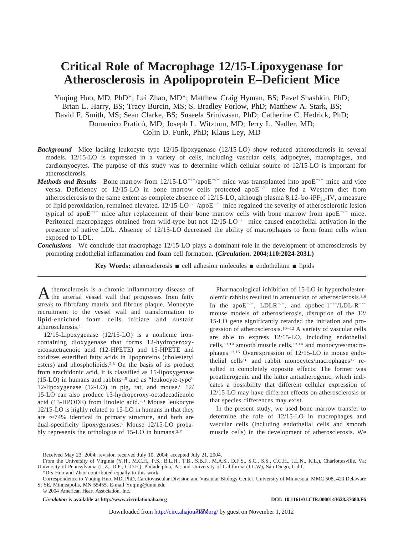# **Critical Role of Macrophage 12/15-Lipoxygenase for Atherosclerosis in Apolipoprotein E–Deficient Mice**

Yuqing Huo, MD, PhD\*; Lei Zhao, MD\*; Matthew Craig Hyman, BS; Pavel Shashkin, PhD; Brian L. Harry, BS; Tracy Burcin, MS; S. Bradley Forlow, PhD; Matthew A. Stark, BS; David F. Smith, MS; Sean Clarke, BS; Suseela Srinivasan, PhD; Catherine C. Hedrick, PhD; Domenico Praticò, MD; Joseph L. Witztum, MD; Jerry L. Nadler, MD; Colin D. Funk, PhD; Klaus Ley, MD

- *Background*—Mice lacking leukocyte type 12/15-lipoxygenase (12/15-LO) show reduced atherosclerosis in several models. 12/15-LO is expressed in a variety of cells, including vascular cells, adipocytes, macrophages, and cardiomyocytes. The purpose of this study was to determine which cellular source of 12/15-LO is important for atherosclerosis.
- *Methods and Results*—Bone marrow from  $12/15\text{-}LO^{-/-}/apoE^{-/-}$  mice was transplanted into apoE<sup>-/-</sup> mice and vice versa. Deficiency of 12/15-LO in bone marrow cells protected apo $E^{-/-}$  mice fed a Western diet from atherosclerosis to the same extent as complete absence of  $12/15$ -LO, although plasma  $8,12$ -*iso*-iPF<sub>20</sub>-IV, a measure of lipid peroxidation, remained elevated.  $12/15\text{-}LO^{-/-}/\text{apoE}^{-/-}$  mice regained the severity of atherosclerotic lesion typical of apo $E^{-/-}$  mice after replacement of their bone marrow cells with bone marrow from apo $E^{-/-}$  mice. Peritoneal macrophages obtained from wild-type but not  $12/15$ -LO<sup>-/-</sup> mice caused endothelial activation in the presence of native LDL. Absence of 12/15-LO decreased the ability of macrophages to form foam cells when exposed to LDL.
- *Conclusions*—We conclude that macrophage 12/15-LO plays a dominant role in the development of atherosclerosis by promoting endothelial inflammation and foam cell formation. **(***Circulation***. 2004;110:2024-2031.)**

**Key Words:** atherosclerosis  $\blacksquare$  cell adhesion molecules  $\blacksquare$  endothelium  $\blacksquare$  lipids

A therosclerosis is a chronic inflammatory disease of the arterial vessel wall that progresses from fatty streak to fibrofatty matrix and fibrous plaque. Monocyte recruitment to the vessel wall and transformation to lipid-enriched foam cells initiate and sustain atherosclerosis.1

12/15-Lipoxygenase (12/15-LO) is a nonheme ironcontaining dioxygenase that forms 12-hydroperoxyeicosatetraenoic acid (12-HPETE) and 15-HPETE and oxidizes esterified fatty acids in lipoproteins (cholesteryl esters) and phospholipids.2,3 On the basis of its product from arachidonic acid, it is classified as 15-lipoxygenase (15-LO) in humans and rabbits4,5 and as "leukocyte-type" 12-lipoxygenase (12-LO) in pig, rat, and mouse.<sup>6</sup>  $12/$ 15-LO can also produce 13-hydroperoxy-octadecadienoic acid (13-HPODE) from linoleic acid.2,3 Mouse leukocyte 12/15-LO is highly related to 15-LO in humans in that they are  $\approx$  74% identical in primary structure, and both are dual-specificity lipoxygenases.7 Mouse 12/15-LO probably represents the orthologue of 15-LO in humans.3,7

Pharmacological inhibition of 15-LO in hypercholesterolemic rabbits resulted in attenuation of atherosclerosis.8,9 In the apo $E^{-/-}$ , LDLR<sup>-/-</sup>, and apobec-1<sup>-/-</sup>/LDL-R<sup>-/-</sup> mouse models of atherosclerosis, disruption of the 12/ 15-LO gene significantly retarded the initiation and progression of atherosclerosis.10–12 A variety of vascular cells are able to express 12/15-LO, including endothelial cells,13,14 smooth muscle cells,13,14 and monocytes/macrophages.13,15 Overexpression of 12/15-LO in mouse endothelial cells<sup>16</sup> and rabbit monocytes/macrophages<sup>17</sup> resulted in completely opposite effects: The former was proatherogenic and the latter antiatherogenic, which indicates a possibility that different cellular expression of 12/15-LO may have different effects on atherosclerosis or that species differences may exist.

In the present study, we used bone marrow transfer to determine the role of 12/15-LO in macrophages and vascular cells (including endothelial cells and smooth muscle cells) in the development of atherosclerosis. We

*Circulation* is available at http://www.circulationaha.org DOI: 10.1161/01.CIR.0000143628.37680.F6

Received May 23, 2004; revision received July 10, 2004; accepted July 21, 2004.

From the University of Virginia (Y.H., M.C.H., P.S., B.L.H., T.B., S.B.F., M.A.S., D.F.S., S.C., S.S., C.C.H., J.L.N., K.L.), Charlottesville, Va; University of Pennsylvania (L.Z., D.P., C.D.F.), Philadelphia, Pa; and University of California (J.L.W), San Diego, Calif.

<sup>\*</sup>Drs Huo and Zhao contributed equally to this work.

Correspondence to Yuqing Huo, MD, PhD, Cardiovascular Division and Vascular Biology Center, University of Minnesota, MMC 508, 420 Delaware St SE, Minneapolis, MN 55455. E-mail Yuqing@umn.edu

<sup>© 2004</sup> American Heart Association, Inc.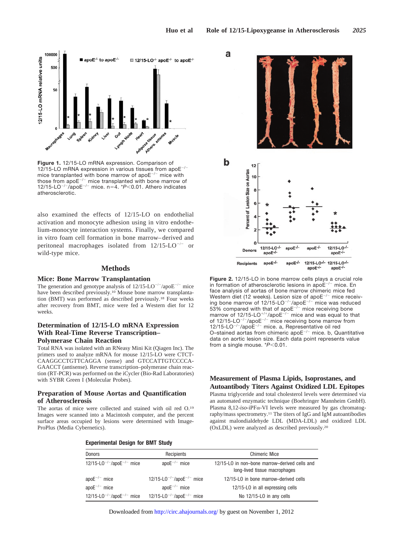

**Figure 1.** 12/15-LO mRNA expression. Comparison of 12/15-LO mRNA expression in various tissues from apo $E^{-/-}$ mice transplanted with bone marrow of apo $E^{-/-}$  mice with those from apo $E^{-/-}$  mice transplanted with bone marrow of 12/15-LO<sup>-/-</sup>/apoE<sup>-/-</sup> mice. n=4.  $*P<0.01$ . Athero indicates atherosclerotic.

also examined the effects of 12/15-LO on endothelial activation and monocyte adhesion using in vitro endothelium-monocyte interaction systems. Finally, we compared in vitro foam cell formation in bone marrow– derived and peritoneal macrophages isolated from  $12/15\text{-LO}^{-/-}$  or wild-type mice.

# **Methods**

#### **Mice: Bone Marrow Transplantation**

The generation and genotype analysis of  $12/15\text{-LO}^{-/-}/\text{apoE}^{-/-}$  mice have been described previously.10 Mouse bone marrow transplantation (BMT) was performed as described previously.18 Four weeks after recovery from BMT, mice were fed a Western diet for 12 weeks.

# **Determination of 12/15-LO mRNA Expression With Real-Time Reverse Transcription– Polymerase Chain Reaction**

Total RNA was isolated with an RNeasy Mini Kit (Qiagen Inc). The primers used to analyze mRNA for mouse 12/15-LO were CTCT-CAAGGCCTGTTCAGGA (sense) and GTCCATTGTCCCCA-GAACCT (antisense). Reverse transcription–polymerase chain reaction (RT-PCR) was performed on the iCycler (Bio-Rad Laboratories) with SYBR Green I (Molecular Probes).

### **Preparation of Mouse Aortas and Quantification of Atherosclerosis**

The aortas of mice were collected and stained with oil red O.19 Images were scanned into a Macintosh computer, and the percent surface areas occupied by lesions were determined with Image-ProPlus (Media Cybernetics).



**Figure 2.** 12/15-LO in bone marrow cells plays a crucial role in formation of atherosclerotic lesions in apo $E^{-/-}$  mice. En face analysis of aortas of bone marrow chimeric mice fed Western diet (12 weeks). Lesion size of apo $E^{-/-}$  mice receiving bone marrow of  $12/15$ -LO<sup>-/-</sup>/apoE<sup>-/-</sup> mice was reduced  $53\%$  compared with that of apo $E^{-/-}$  mice receiving bone marrow of 12/15-LO<sup>+/+</sup>/apoE<sup>-/-</sup> mice and was equal to that of  $12/15$ -LO<sup>-/-</sup>/apoE<sup>-/-</sup> mice receiving bone marrow from 12/15-LO $^{-/-}$ /apoE $^{-/-}$  mice. a, Representative oil red O-stained aortas from chimeric apo $E^{-/-}$  mice. b, Quantitative data on aortic lesion size. Each data point represents value from a single mouse.  $*P<0.01$ .

# **Measurement of Plasma Lipids, Isoprostanes, and Autoantibody Titers Against Oxidized LDL Epitopes**

Plasma triglyceride and total cholesterol levels were determined via an automated enzymatic technique (Boehringer Mannheim GmbH). Plasma  $8,12$ -iso-iPF $\alpha$ -VI levels were measured by gas chromatography/mass spectrometry.11 The titers of IgG and IgM autoantibodies against malondialdehyde LDL (MDA-LDL) and oxidized LDL (OxLDL) were analyzed as described previously.20

#### **Experimental Design for BMT Study**

| <b>Donors</b>                                     | Recipients                                        | <b>Chimeric Mice</b>                                                           |
|---------------------------------------------------|---------------------------------------------------|--------------------------------------------------------------------------------|
| 12/15-L0 <sup>-/-</sup> /apoE <sup>-/-</sup> mice | apo $E^{-/-}$ mice                                | 12/15-LO in non-bone marrow-derived cells and<br>long-lived tissue macrophages |
| apo $E^{-/-}$ mice                                | 12/15-L0 <sup>-/-</sup> /apoE <sup>-/-</sup> mice | 12/15-LO in bone marrow-derived cells                                          |
| apo $E^{-/-}$ mice                                | apo $E^{-/-}$ mice                                | 12/15-LO in all expressing cells                                               |
| 12/15-L0 <sup>-/-</sup> /apoE <sup>-/-</sup> mice | 12/15-L0 <sup>-/-</sup> /apoE <sup>-/-</sup> mice | No 12/15-L0 in any cells                                                       |

Downloaded from<http://circ.ahajournals.org/>by guest on November 1, 2012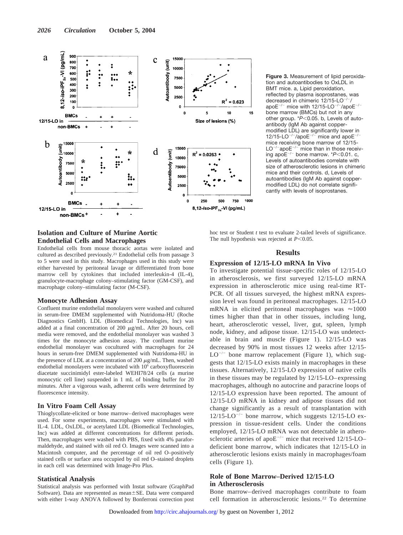

**Figure 3.** Measurement of lipid peroxidation and autoantibodies to OxLDL in BMT mice. a, Lipid peroxidation, reflected by plasma isoprostanes, was decreased in chimeric 12/15-LO<sup>-/-</sup>/ apoE $^{-/-}$  mice with 12/15-LO $^{-/-}$ /apoE $^{-/}$ bone marrow (BMCs) but not in any other group. \*P<0.05. b, Levels of autoantibody (IgM Ab against coppermodified LDL) are significantly lower in 12/15-LO<sup>-/-</sup>/apoE<sup>-/-</sup> mice and apoE<sup>-/</sup> mice receiving bone marrow of 12/15-  $LO^{-/-}$ apo $E^{-/-}$  mice than in those receiving apo $E^{-/-}$  bone marrow.  $*P<0.01$ . c, Levels of autoantibodies correlate with size of atherosclerotic lesions in chimeric mice and their controls. d, Levels of autoantibodies (IgM Ab against coppermodified LDL) do not correlate significantly with levels of isoprostanes.

# **Isolation and Culture of Murine Aortic Endothelial Cells and Macrophages**

Endothelial cells from mouse thoracic aortas were isolated and cultured as described previously.21 Endothelial cells from passage 3 to 5 were used in this study. Macrophages used in this study were either harvested by peritoneal lavage or differentiated from bone marrow cell by cytokines that included interleukin-4 (IL-4), granulocyte-macrophage colony–stimulating factor (GM-CSF), and macrophage colony–stimulating factor (M-CSF).

# **Monocyte Adhesion Assay**

Confluent murine endothelial monolayers were washed and cultured in serum-free DMEM supplemented with Nutridoma-HU (Roche Diagnostics GmbH). LDL (Biomedical Technologies, Inc) was added at a final concentration of 200  $\mu$ g/mL. After 20 hours, cell media were removed, and the endothelial monolayer was washed 3 times for the monocyte adhesion assay. The confluent murine endothelial monolayer was cocultured with macrophages for 24 hours in serum-free DMEM supplemented with Nutridoma-HU in the presence of LDL at a concentration of 200  $\mu$ g/mL. Then, washed endothelial monolayers were incubated with  $10<sup>6</sup>$  carboxyfluorescein diacetate succinimidyl ester-labeled WEHI78/24 cells (a murine monocytic cell line) suspended in 1 mL of binding buffer for 20 minutes. After a vigorous wash, adherent cells were determined by fluorescence intensity.

### **In Vitro Foam Cell Assay**

Thioglycollate-elicited or bone marrow–derived macrophages were used. For some experiments, macrophages were stimulated with IL-4. LDL, OxLDL, or acetylated LDL (Biomedical Technologies, Inc) was added at different concentrations for different periods. Then, macrophages were washed with PBS, fixed with 4% paraformaldehyde, and stained with oil red O. Images were scanned into a Macintosh computer, and the percentage of oil red O–positively stained cells or surface area occupied by oil red O–stained droplets in each cell was determined with Image-Pro Plus.

#### **Statistical Analysis**

Statistical analysis was performed with Instat software (GraphPad Software). Data are represented as mean $\pm$ SE. Data were compared with either 1-way ANOVA followed by Bonferroni correction post hoc test or Student *t* test to evaluate 2-tailed levels of significance. The null hypothesis was rejected at  $P<0.05$ .

#### **Results**

#### **Expression of 12/15-LO mRNA In Vivo**

To investigate potential tissue-specific roles of 12/15-LO in atherosclerosis, we first surveyed 12/15-LO mRNA expression in atherosclerotic mice using real-time RT-PCR. Of all tissues surveyed, the highest mRNA expression level was found in peritoneal macrophages. 12/15-LO mRNA in elicited peritoneal macrophages was  $\approx 1000$ times higher than that in other tissues, including lung, heart, atherosclerotic vessel, liver, gut, spleen, lymph node, kidney, and adipose tissue. 12/15-LO was undetectable in brain and muscle (Figure 1). 12/15-LO was decreased by 90% in most tissues 12 weeks after 12/15-  $LO^{-/-}$  bone marrow replacement (Figure 1), which suggests that 12/15-LO exists mainly in macrophages in these tissues. Alternatively, 12/15-LO expression of native cells in these tissues may be regulated by 12/15-LO– expressing macrophages, although no autocrine and paracrine loops of 12/15-LO expression have been reported. The amount of 12/15-LO mRNA in kidney and adipose tissues did not change significantly as a result of transplantation with  $12/15\text{-LO}^{-/-}$  bone marrow, which suggests 12/15-LO expression in tissue-resident cells. Under the conditions employed, 12/15-LO mRNA was not detectable in atherosclerotic arteries of apo $E^{-/-}$  mice that received 12/15-LO– deficient bone marrow, which indicates that 12/15-LO in atherosclerotic lesions exists mainly in macrophages/foam cells (Figure 1).

# **Role of Bone Marrow–Derived 12/15-LO in Atherosclerosis**

Bone marrow– derived macrophages contribute to foam cell formation in atherosclerotic lesions.22 To determine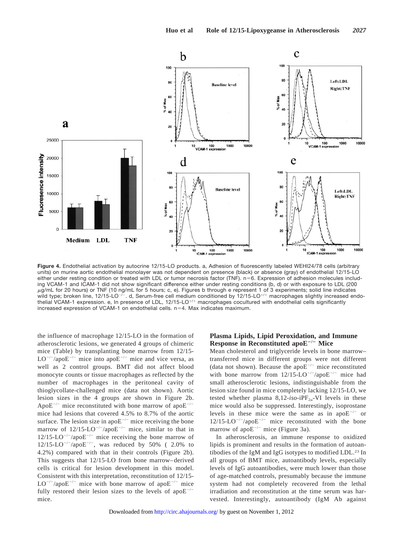

**Figure 4.** Endothelial activation by autocrine 12/15-LO products. a, Adhesion of fluorescently labeled WEHI24/78 cells (arbitrary units) on murine aortic endothelial monolayer was not dependent on presence (black) or absence (gray) of endothelial 12/15-LO either under resting condition or treated with LDL or tumor necrosis factor (TNF).  $n=6$ . Expression of adhesion molecules including VCAM-1 and ICAM-1 did not show significant difference either under resting conditions (b, d) or with exposure to LDL (200  $\mu$ g/mL for 20 hours) or TNF (10 ng/mL for 5 hours; c, e). Figures b through e represent 1 of 3 experiments; solid line indicates wild type; broken line, 12/15-LO<sup>-7</sup>. d, Serum-free cell medium conditioned by 12/15-LO<sup>+/+</sup> macrophages slightly increased endothelial VCAM-1 expression. e, In presence of LDL,  $12/15$ -LO<sup>+/+</sup> macrophages cocultured with endothelial cells significantly increased expression of VCAM-1 on endothelial cells.  $n=4$ . Max indicates maximum.

the influence of macrophage 12/15-LO in the formation of atherosclerotic lesions, we generated 4 groups of chimeric mice (Table) by transplanting bone marrow from 12/15-  $LO^{-/-}/apoE^{-/-}$  mice into apo $E^{-/-}$  mice and vice versa, as well as 2 control groups. BMT did not affect blood monocyte counts or tissue macrophages as reflected by the number of macrophages in the peritoneal cavity of thioglycollate-challenged mice (data not shown). Aortic lesion sizes in the 4 groups are shown in Figure 2b. Apo $E^{-/-}$  mice reconstituted with bone marrow of apo $E^{-/-}$ mice had lesions that covered 4.5% to 8.7% of the aortic surface. The lesion size in apo $E^{-/-}$  mice receiving the bone marrow of  $12/15\text{-LO}^{-/-}/\text{apo}E^{-/-}$  mice, similar to that in  $12/15\text{-LO}^{-/-}/\text{apo}E^{-/-}$  mice receiving the bone marrow of  $12/15\text{-LO}^{-/-}/\text{apoE}^{-/-}$ , was reduced by 50% ( 2.0% to 4.2%) compared with that in their controls (Figure 2b). This suggests that 12/15-LO from bone marrow– derived cells is critical for lesion development in this model. Consistent with this interpretation, reconstitution of 12/15-  $LO^{-/-}/apoE^{-/-}$  mice with bone marrow of apo $E^{-/-}$  mice fully restored their lesion sizes to the levels of apo $E^{-/-}$ mice.

# **Plasma Lipids, Lipid Peroxidation, and Immune Response in Reconstituted apoE/ Mice**

Mean cholesterol and triglyceride levels in bone marrow– transferred mice in different groups were not different (data not shown). Because the apo $E^{-/-}$  mice reconstituted with bone marrow from  $12/15\text{-LO}^{-/-}/\text{apoE}^{-/-}$  mice had small atherosclerotic lesions, indistinguishable from the lesion size found in mice completely lacking 12/15-LO, we tested whether plasma  $8,12$ -iso-iPF<sub>2 $\alpha$ </sub>-VI levels in these mice would also be suppressed. Interestingly, isoprostane levels in these mice were the same as in apo $E^{-/-}$  or  $12/15\text{-LO}^{-/-}/\text{apo}E^{-/-}$  mice reconstituted with the bone marrow of apo $E^{-/-}$  mice (Figure 3a).

In atherosclerosis, an immune response to oxidized lipids is prominent and results in the formation of autoantibodies of the IgM and IgG isotypes to modified LDL.23 In all groups of BMT mice, autoantibody levels, especially levels of IgG autoantibodies, were much lower than those of age-matched controls, presumably because the immune system had not completely recovered from the lethal irradiation and reconstitution at the time serum was harvested. Interestingly, autoantibody (IgM Ab against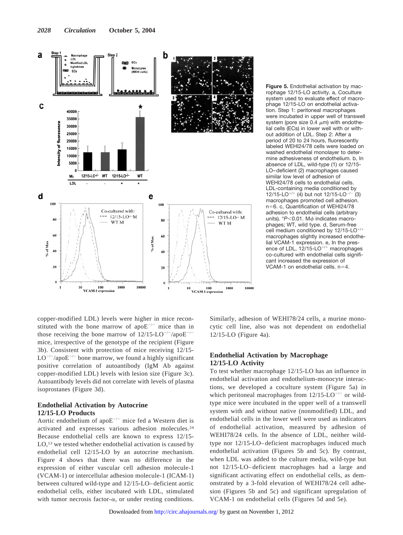

**Figure 5.** Endothelial activation by macrophage 12/15-LO activity. a, Coculture system used to evaluate effect of macrophage 12/15-LO on endothelial activation. Step 1: peritoneal macrophages were incubated in upper well of transwell system (pore size 0.4  $\mu$ m) with endothelial cells (ECs) in lower well with or without addition of LDL. Step 2: After a period of 20 to 24 hours, fluorescently labeled WEHI24/78 cells were loaded on washed endothelial monolayer to determine adhesiveness of endothelium. b, In absence of LDL, wild-type (1) or 12/15- LO–deficient (2) macrophages caused similar low level of adhesion of WEHI24/78 cells to endothelial cells. LDL-containing media conditioned by 12/15-LO<sup>+/+</sup> (4) but not 12/15-LO<sup>-/-</sup> (3) macrophages promoted cell adhesion. n=6. c, Quantification of WEHI24/78 adhesion to endothelial cells (arbitrary units).  $*P<0.01$ . M $\phi$  indicates macrophages; WT, wild type. d, Serum-free cell medium conditioned by  $12/15$ -LO<sup>+/+</sup> macrophages slightly increased endothelial VCAM-1 expression. e, In the presence of LDL,  $12/15$ -LO<sup>+/+</sup> macrophages co-cultured with endothelial cells significant increased the expression of VCAM-1 on endothelial cells.  $n=4$ .

copper-modified LDL) levels were higher in mice reconstituted with the bone marrow of apo $E^{-/-}$  mice than in those receiving the bone marrow of  $12/15\text{-}LO^{-/-}/apoE^{-}$ mice, irrespective of the genotype of the recipient (Figure 3b). Consistent with protection of mice receiving 12/15-  $LO^{-/-}/apoE^{-/-}$  bone marrow, we found a highly significant positive correlation of autoantibody (IgM Ab against copper-modified LDL) levels with lesion size (Figure 3c). Autoantibody levels did not correlate with levels of plasma isoprostanes (Figure 3d).

# **Endothelial Activation by Autocrine 12/15-LO Products**

Aortic endothelium of apo $E^{-/-}$  mice fed a Western diet is activated and expresses various adhesion molecules.24 Because endothelial cells are known to express 12/15- LO,<sup>13</sup> we tested whether endothelial activation is caused by endothelial cell 12/15-LO by an autocrine mechanism. Figure 4 shows that there was no difference in the expression of either vascular cell adhesion molecule-1 (VCAM-1) or intercellular adhesion molecule-1 (ICAM-1) between cultured wild-type and 12/15-LO– deficient aortic endothelial cells, either incubated with LDL, stimulated with tumor necrosis factor- $\alpha$ , or under resting conditions. Similarly, adhesion of WEHI78/24 cells, a murine monocytic cell line, also was not dependent on endothelial 12/15-LO (Figure 4a).

# **Endothelial Activation by Macrophage 12/15-LO Activity**

To test whether macrophage 12/15-LO has an influence in endothelial activation and endothelium-monocyte interactions, we developed a coculture system (Figure 5a) in which peritoneal macrophages from  $12/15\text{-LO}^{-/-}$  or wildtype mice were incubated in the upper well of a transwell system with and without native (nonmodified) LDL, and endothelial cells in the lower well were used as indicators of endothelial activation, measured by adhesion of WEHI78/24 cells. In the absence of LDL, neither wildtype nor 12/15-LO– deficient macrophages induced much endothelial activation (Figures 5b and 5c). By contrast, when LDL was added to the culture media, wild-type but not 12/15-LO– deficient macrophages had a large and significant activating effect on endothelial cells, as demonstrated by a 3-fold elevation of WEHI78/24 cell adhesion (Figures 5b and 5c) and significant upregulation of VCAM-1 on endothelial cells (Figures 5d and 5e).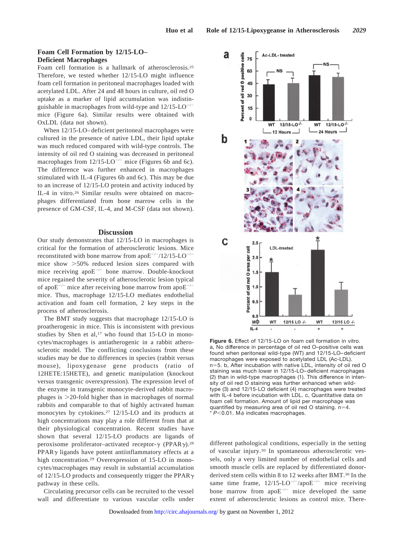# **Foam Cell Formation by 12/15-LO– Deficient Macrophages**

Foam cell formation is a hallmark of atherosclerosis.25 Therefore, we tested whether 12/15-LO might influence foam cell formation in peritoneal macrophages loaded with acetylated LDL. After 24 and 48 hours in culture, oil red O uptake as a marker of lipid accumulation was indistinguishable in macrophages from wild-type and  $12/15\text{-LO}^{-/-}$ mice (Figure 6a). Similar results were obtained with OxLDL (data not shown).

When 12/15-LO– deficient peritoneal macrophages were cultured in the presence of native LDL, their lipid uptake was much reduced compared with wild-type controls. The intensity of oil red O staining was decreased in peritoneal macrophages from  $12/15$ -LO<sup>-/-</sup> mice (Figures 6b and 6c). The difference was further enhanced in macrophages stimulated with IL-4 (Figures 6b and 6c). This may be due to an increase of 12/15-LO protein and activity induced by IL-4 in vitro.26 Similar results were obtained on macrophages differentiated from bone marrow cells in the presence of GM-CSF, IL-4, and M-CSF (data not shown).

# **Discussion**

Our study demonstrates that 12/15-LO in macrophages is critical for the formation of atherosclerotic lesions. Mice reconstituted with bone marrow from apo $E^{-/-}/12/15\text{-LO}^{-/-}$ mice show 50% reduced lesion sizes compared with mice receiving apo $E^{-/-}$  bone marrow. Double-knockout mice regained the severity of atherosclerotic lesion typical of apo $E^{-/-}$  mice after receiving bone marrow from apo $E^{-/-}$ mice. Thus, macrophage 12/15-LO mediates endothelial activation and foam cell formation, 2 key steps in the process of atherosclerosis.

The BMT study suggests that macrophage 12/15-LO is proatherogenic in mice. This is inconsistent with previous studies by Shen et al, $17$  who found that 15-LO in monocytes/macrophages is antiatherogenic in a rabbit atherosclerotic model. The conflicting conclusions from these studies may be due to differences in species (rabbit versus mouse), lipoxygenase gene products (ratio of 12HETE:15HETE), and genetic manipulation (knockout versus transgenic overexpression). The expression level of the enzyme in transgenic monocyte-derived rabbit macrophages is 20-fold higher than in macrophages of normal rabbits and comparable to that of highly activated human monocytes by cytokines.<sup>27</sup> 12/15-LO and its products at high concentrations may play a role different from that at their physiological concentration. Recent studies have shown that several 12/15-LO products are ligands of peroxisome proliferator-activated receptor- $\gamma$  (PPAR $\gamma$ ).<sup>28</sup>  $PPAR\gamma$  ligands have potent antiinflammatory effects at a high concentration.29 Overexpression of 15-LO in monocytes/macrophages may result in substantial accumulation of 12/15-LO products and consequently trigger the PPAR $\gamma$ pathway in these cells.

Circulating precursor cells can be recruited to the vessel wall and differentiate to various vascular cells under



**Figure 6.** Effect of 12/15-LO on foam cell formation in vitro. a, No difference in percentage of oil red O–positive cells was found when peritoneal wild-type (WT) and 12/15-LO–deficient macrophages were exposed to acetylated LDL (Ac-LDL). n=5. b, After incubation with native LDL, intensity of oil red O staining was much lower in 12/15-LO–deficient macrophages (2) than in wild-type macrophages (1). This difference in intensity of oil red O staining was further enhanced when wildtype (3) and 12/15-LO deficient (4) macrophages were treated with IL-4 before incubation with LDL. c, Quantitative data on foam cell formation. Amount of lipid per macrophage was quantified by measuring area of oil red O staining.  $n=4$ .  $*$   $P<$ 0.01. M $\phi$  indicates macrophages.

different pathological conditions, especially in the setting of vascular injury.30 In spontaneous atherosclerotic vessels, only a very limited number of endothelial cells and smooth muscle cells are replaced by differentiated donorderived stem cells within 8 to 12 weeks after BMT.30 In the same time frame,  $12/15\text{-LO}^{-/-}/\text{apo}E^{-/-}$  mice receiving bone marrow from apo $E^{-/-}$  mice developed the same extent of atherosclerotic lesions as control mice. There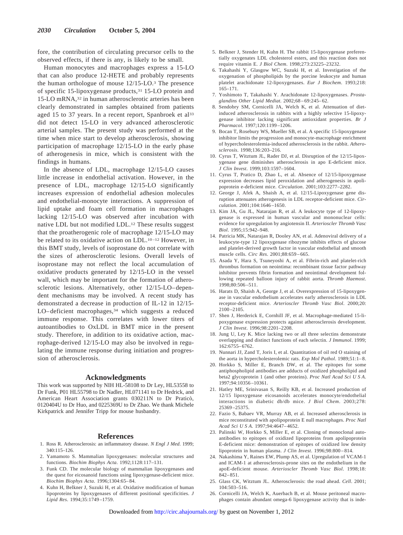fore, the contribution of circulating precursor cells to the observed effects, if there is any, is likely to be small.

Human monocytes and macrophages express a 15-LO that can also produce 12-HETE and probably represents the human orthologue of mouse 12/15-LO.3 The presence of specific 15-lipoxygenase products,31 15-LO protein and 15-LO mRNA,32 in human atherosclerotic arteries has been clearly demonstrated in samples obtained from patients aged 15 to 37 years. In a recent report, Spanbroek et al<sup>33</sup> did not detect 15-LO in very advanced atherosclerotic arterial samples. The present study was performed at the time when mice start to develop atherosclerosis, showing participation of macrophage 12/15-LO in the early phase of atherogenesis in mice, which is consistent with the findings in humans.

In the absence of LDL, macrophage 12/15-LO causes little increase in endothelial activation. However, in the presence of LDL, macrophage 12/15-LO significantly increases expression of endothelial adhesion molecules and endothelial-monocyte interactions. A suppression of lipid uptake and foam cell formation in macrophages lacking 12/15-LO was observed after incubation with native LDL but not modified LDL.12 These results suggest that the proatherogenic role of macrophage 12/15-LO may be related to its oxidative action on LDL.<sup>10-12</sup> However, in this BMT study, levels of isoprostane do not correlate with the sizes of atherosclerotic lesions. Overall levels of isoprostane may not reflect the local accumulation of oxidative products generated by 12/15-LO in the vessel wall, which may be important for the formation of atherosclerotic lesions. Alternatively, other 12/15-LO– dependent mechanisms may be involved. A recent study has demonstrated a decrease in production of IL-12 in 12/15- LO-deficient macrophages,<sup>34</sup> which suggests a reduced immune response. This correlates with lower titers of autoantibodies to OxLDL in BMT mice in the present study. Therefore, in addition to its oxidative action, macrophage-derived 12/15-LO may also be involved in regulating the immune response during initiation and progression of atherosclerosis.

# **Acknowledgments**

This work was supported by NIH HL-58108 to Dr Ley, HL53558 to Dr Funk, P01 HL55798 to Dr Nadler, HL071141 to Dr Hedrick, and American Heart Association grants 030211N to Dr Praticò, 0120404U to Dr Huo, and 0225369U to Dr Zhao. We thank Michele Kirkpatrick and Jennifer Tripp for mouse husbandry.

#### **References**

- 1. Ross R. Atherosclerosis: an inflammatory disease. *N Engl J Med*. 1999; 340:115–126.
- 2. Yamamoto S. Mammalian lipoxygenases: molecular structures and functions. *Biochim Biophys Acta*. 1992;1128:117–131.
- 3. Funk CD. The molecular biology of mammalian lipoxygenases and the quest for eicosanoid functions using lipoxygenase-deficient mice. *Biochim Biophys Acta*. 1996;1304:65– 84.
- 4. Kuhn H, Belkner J, Suzuki H, et al. Oxidative modification of human lipoproteins by lipoxygenases of different positional specificities. *J Lipid Res*. 1994;35:1749 –1759.
- 5. Belkner J, Stender H, Kuhn H. The rabbit 15-lipoxygenase preferentially oxygenates LDL cholesterol esters, and this reaction does not require vitamin E. *J Biol Chem*. 1998;273:23225–23232.
- 6. Takahashi Y, Glasgow WC, Suzuki H, et al. Investigation of the oxygenation of phospholipids by the porcine leukocyte and human platelet arachidonate 12-lipoxygenases. *Eur J Biochem*. 1993;218: 165–171.
- 7. Yoshimoto T, Takahashi Y. Arachidonate 12-lipoxygenases. *Prostaglandins Other Lipid Mediat*. 2002;68 – 69:245– 62.
- 8. Sendobry SM, Cornicelli JA, Welch K, et al. Attenuation of dietinduced atherosclerosis in rabbits with a highly selective 15-lipoxygenase inhibitor lacking significant antioxidant properties. *Br J Pharmacol*. 1997;120:1199 –1206.
- 9. Bocan T, Rosebury WS, Mueller SB, et al. A specific 15-lipoxygenase inhibitor limits the progression and monocyte-macrophage enrichment of hypercholesterolemia-induced atherosclerosis in the rabbit. *Atherosclerosis*. 1998;136:203–216.
- 10. Cyrus T, Witztum JL, Rader DJ, et al. Disruption of the 12/15-lipoxygenase gene diminishes atherosclerosis in apo E-deficient mice. *J Clin Invest*. 1999;103:1597–1604.
- 11. Cyrus T, Pratico D, Zhao L, et al. Absence of 12/15-lipoxygenase expression decreases lipid peroxidation and atherogenesis in apolipoprotein e-deficient mice. *Circulation*. 2001;103:2277–2282.
- 12. George J, Afek A, Shaish A, et al. 12/15-Lipoxygenase gene disruption attenuates atherogenesis in LDL receptor-deficient mice. *Circulation*. 2001;104:1646 –1650.
- 13. Kim JA, Gu JL, Natarajan R, et al. A leukocyte type of 12-lipoxygenase is expressed in human vascular and mononuclear cells: evidence for upregulation by angiotensin II. *Arterioscler Thromb Vasc Biol*. 1995;15:942–948.
- 14. Patricia MK, Natarajan R, Dooley AN, et al. Adenoviral delivery of a leukocyte-type 12 lipoxygenase ribozyme inhibits effects of glucose and platelet-derived growth factor in vascular endothelial and smooth muscle cells. *Circ Res*. 2001;88:659 – 665.
- 15. Asada Y, Hara S, Tsuneyoshi A, et al. Fibrin-rich and platelet-rich thrombus formation on neointima: recombinant tissue factor pathway inhibitor prevents fibrin formation and neointimal development following repeated balloon injury of rabbit aorta. *Thromb Haemost*. 1998;80:506 –511.
- 16. Harats D, Shaish A, George J, et al. Overexpression of 15-lipoxygenase in vascular endothelium accelerates early atherosclerosis in LDL receptor-deficient mice. *Arterioscler Thromb Vasc Biol*. 2000;20: 2100 –2105.
- 17. Shen J, Herderick E, Cornhill JF, et al. Macrophage-mediated 15-lipoxygenase expression protects against atherosclerosis development. *J Clin Invest*. 1996;98:2201–2208.
- 18. Jung U, Ley K. Mice lacking two or all three selectins demonstrate overlapping and distinct functions of each selectin. *J Immunol*. 1999; 162:6755– 6762.
- 19. Nunnari JJ, Zand T, Joris I, et al. Quantitation of oil red O staining of the aorta in hypercholesterolemic rats. *Exp Mol Pathol*. 1989;51:1-8.
- 20. Horkko S, Miller E, Branch DW, et al. The epitopes for some antiphospholipid antibodies are adducts of oxidized phospholipid and beta2 glycoprotein 1 (and other proteins). *Proc Natl Acad Sci U S A*. 1997;94:10356 –10361.
- 21. Hatley ME, Srinivasan S, Reilly KB, et al. Increased production of 12/15 lipoxygenase eicosanoids accelerates monocyte/endothelial interactions in diabetic db/db mice. *J Biol Chem*. 2003;278: 25369 –25375.
- 22. Fazio S, Babaev VR, Murray AB, et al. Increased atherosclerosis in mice reconstituted with apolipoprotein E null macrophages. *Proc Natl Acad Sci U S A*. 1997;94:4647– 4652.
- 23. Palinski W, Horkko S, Miller E, et al. Cloning of monoclonal autoantibodies to epitopes of oxidized lipoproteins from apolipoprotein E-deficient mice: demonstration of epitopes of oxidized low density lipoprotein in human plasma. *J Clin Invest*. 1996;98:800-814.
- 24. Nakashima Y, Raines EW, Plump AS, et al. Upregulation of VCAM-1 and ICAM-1 at atherosclerosis-prone sites on the endothelium in the apoE-deficient mouse. *Arterioscler Thromb Vasc Biol*. 1998;18: 842– 851.
- 25. Glass CK, Witztum JL. Atherosclerosis: the road ahead. *Cell*. 2001; 104:503–516.
- 26. Cornicelli JA, Welch K, Auerbach B, et al. Mouse peritoneal macrophages contain abundant omega-6 lipoxygenase activity that is inde-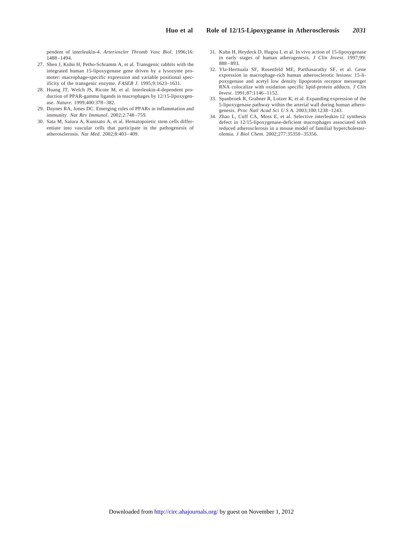pendent of interleukin-4. *Arterioscler Thromb Vasc Biol*. 1996;16: 1488 –1494.

- 27. Shen J, Kuhn H, Petho-Schramm A, et al. Transgenic rabbits with the integrated human 15-lipoxygenase gene driven by a lysozyme promoter: macrophage-specific expression and variable positional specificity of the transgenic enzyme. *FASEB J*. 1995;9:1623–1631.
- 28. Huang JT, Welch JS, Ricote M, et al. Interleukin-4-dependent production of PPAR-gamma ligands in macrophages by 12/15-lipoxygenase. *Nature*. 1999;400:378 –382.
- 29. Daynes RA, Jones DC. Emerging roles of PPARs in inflammation and immunity. *Nat Rev Immunol*. 2002;2:748 –759.
- 30. Sata M, Saiura A, Kunisato A, et al. Hematopoietic stem cells differentiate into vascular cells that participate in the pathogenesis of atherosclerosis. *Nat Med*. 2002;8:403– 409.
- 31. Kuhn H, Heydeck D, Hugou I, et al. In vivo action of 15-lipoxygenase in early stages of human atherogenesis. *J Clin Invest*. 1997;99:  $888 - 893.$
- 32. Yla-Herttuala SF, Rosenfeld ME, Parthasarathy SF, et al. Gene expression in macrophage-rich human atherosclerotic lesions: 15-lipoxygenase and acetyl low density lipoprotein receptor messenger RNA colocalize with oxidation specific lipid-protein adducts. *J Clin Invest*. 1991;87:1146 –1152.
- 33. Spanbroek R, Grabner R, Lotzer K, et al. Expanding expression of the 5-lipoxygenase pathway within the arterial wall during human atherogenesis. *Proc Natl Acad Sci U S A*. 2003;100:1238 –1243.
- 34. Zhao L, Cuff CA, Moss E, et al. Selective interleukin-12 synthesis defect in 12/15-lipoxygenase-deficient macrophages associated with reduced atherosclerosis in a mouse model of familial hypercholesterolemia. *J Biol Chem*. 2002;277:35350 –35356.